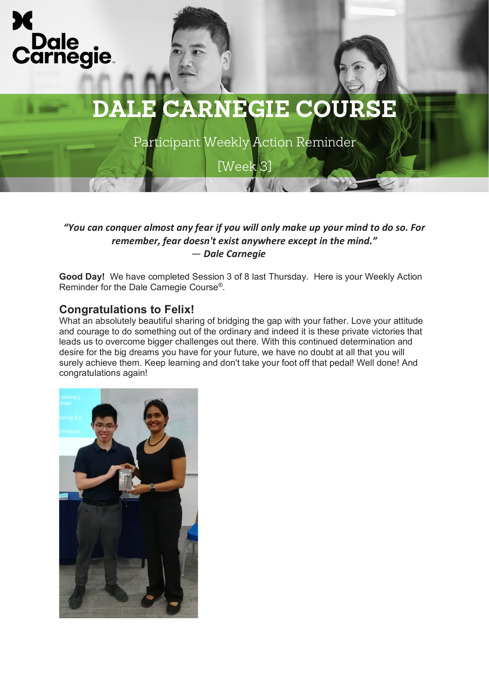

Participant Weekly Action Reminder

[Week 3]

## *"You can conquer almost any fear if you will only make up your mind to do so. For remember, fear doesn't exist anywhere except in the mind." ― Dale Carnegie*

**Good Day!** We have completed Session 3 of 8 last Thursday. Here is your Weekly Action Reminder for the Dale Carnegie Course®.

## **Congratulations to Felix!**

What an absolutely beautiful sharing of bridging the gap with your father. Love your attitude and courage to do something out of the ordinary and indeed it is these private victories that leads us to overcome bigger challenges out there. With this continued determination and desire for the big dreams you have for your future, we have no doubt at all that you will surely achieve them. Keep learning and don't take your foot off that pedal! Well done! And congratulations again!

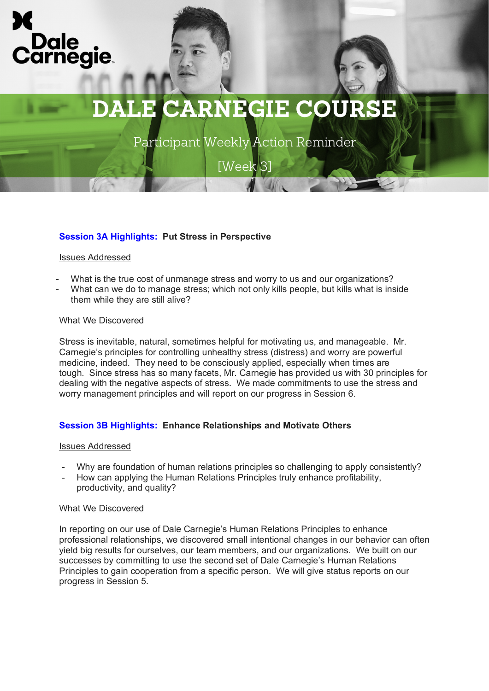

Participant Weekly Action Reminder

[Week 3]

## **Session 3A Highlights: Put Stress in Perspective**

## Issues Addressed

- What is the true cost of unmanage stress and worry to us and our organizations?
- What can we do to manage stress; which not only kills people, but kills what is inside them while they are still alive?

### What We Discovered

Stress is inevitable, natural, sometimes helpful for motivating us, and manageable. Mr. Carnegie's principles for controlling unhealthy stress (distress) and worry are powerful medicine, indeed. They need to be consciously applied, especially when times are tough. Since stress has so many facets, Mr. Carnegie has provided us with 30 principles for dealing with the negative aspects of stress. We made commitments to use the stress and worry management principles and will report on our progress in Session 6.

## **Session 3B Highlights: Enhance Relationships and Motivate Others**

### Issues Addressed

- Why are foundation of human relations principles so challenging to apply consistently?
- How can applying the Human Relations Principles truly enhance profitability, productivity, and quality?

### What We Discovered

In reporting on our use of Dale Carnegie's Human Relations Principles to enhance professional relationships, we discovered small intentional changes in our behavior can often yield big results for ourselves, our team members, and our organizations. We built on our successes by committing to use the second set of Dale Carnegie's Human Relations Principles to gain cooperation from a specific person. We will give status reports on our progress in Session 5.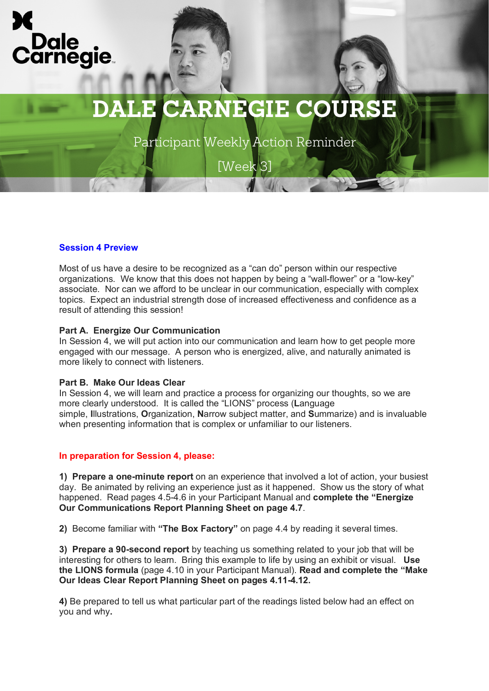

Participant Weekly Action Reminder

[Week 3]

## **Session 4 Preview**

Most of us have a desire to be recognized as a "can do" person within our respective organizations. We know that this does not happen by being a "wall-flower" or a "low-key" associate. Nor can we afford to be unclear in our communication, especially with complex topics. Expect an industrial strength dose of increased effectiveness and confidence as a result of attending this session!

### **Part A. Energize Our Communication**

In Session 4, we will put action into our communication and learn how to get people more engaged with our message. A person who is energized, alive, and naturally animated is more likely to connect with listeners.

#### **Part B. Make Our Ideas Clear**

In Session 4, we will learn and practice a process for organizing our thoughts, so we are more clearly understood. It is called the "LIONS" process (**L**anguage simple, **I**llustrations, **O**rganization, **N**arrow subject matter, and **S**ummarize) and is invaluable when presenting information that is complex or unfamiliar to our listeners.

#### **In preparation for Session 4, please:**

**1) Prepare a one-minute report** on an experience that involved a lot of action, your busiest day. Be animated by reliving an experience just as it happened. Show us the story of what happened. Read pages 4.5-4.6 in your Participant Manual and **complete the "Energize Our Communications Report Planning Sheet on page 4.7**.

**2)** Become familiar with **"The Box Factory"** on page 4.4 by reading it several times.

**3) Prepare a 90-second report** by teaching us something related to your job that will be interesting for others to learn. Bring this example to life by using an exhibit or visual. **Use the LIONS formula** (page 4.10 in your Participant Manual). **Read and complete the "Make Our Ideas Clear Report Planning Sheet on pages 4.11-4.12.**

**4)** Be prepared to tell us what particular part of the readings listed below had an effect on you and why**.**